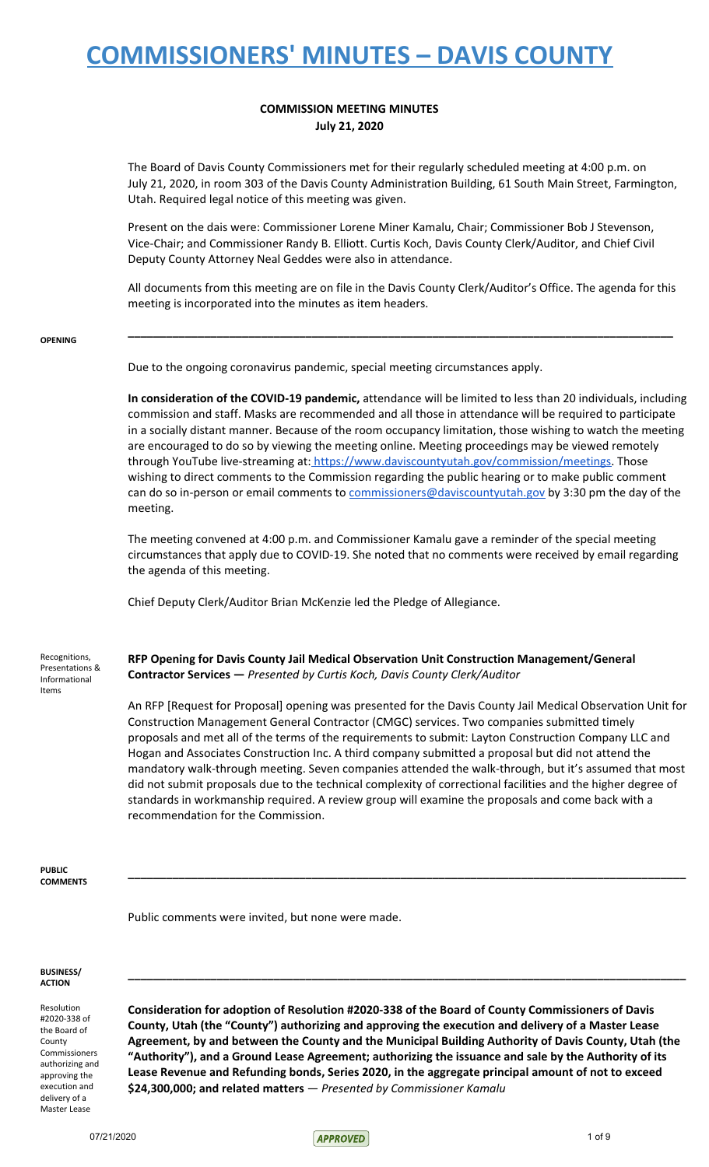### **COMMISSION MEETING MINUTES July 21, 2020**

The Board of Davis County Commissioners met for their regularly scheduled meeting at 4:00 p.m. on July 21, 2020, in room 303 of the Davis County Administration Building, 61 South Main Street, Farmington, Utah. Required legal notice of this meeting was given.

Present on the dais were: Commissioner Lorene Miner Kamalu, Chair; Commissioner Bob J Stevenson, Vice-Chair; and Commissioner Randy B. Elliott. Curtis Koch, Davis County Clerk/Auditor, and Chief Civil Deputy County Attorney Neal Geddes were also in attendance.

All documents from this meeting are on file in the Davis County Clerk/Auditor's Office. The agenda for this meeting is incorporated into the minutes as item headers.

**\_\_\_\_\_\_\_\_\_\_\_\_\_\_\_\_\_\_\_\_\_\_\_\_\_\_\_\_\_\_\_\_\_\_\_\_\_\_\_\_\_\_\_\_\_\_\_\_\_\_\_\_\_\_\_\_\_\_\_\_\_\_\_\_\_\_\_\_\_\_\_\_\_\_\_\_\_\_\_\_\_\_\_\_\_\_**

#### **OPENING**

Due to the ongoing coronavirus pandemic, special meeting circumstances apply.

**In consideration of the COVID-19 pandemic,** attendance will be limited to less than 20 individuals, including commission and staff. Masks are recommended and all those in attendance will be required to participate in a socially distant manner. Because of the room occupancy limitation, those wishing to watch the meeting are encouraged to do so by viewing the meeting online. Meeting proceedings may be viewed remotely through YouTube live-streaming at: [https://www.daviscountyutah.gov/commission/meetings.](https://www.daviscountyutah.gov/commission/meetings) Those wishing to direct comments to the Commission regarding the public hearing or to make public comment can do so in-person or email comments to [commissioners@daviscountyutah.gov](mailto:commissioners@daviscountyutah.gov) by 3:30 pm the day of the meeting.

The meeting convened at 4:00 p.m. and Commissioner Kamalu gave a reminder of the special meeting circumstances that apply due to COVID-19. She noted that no comments were received by email regarding the agenda of this meeting.

Chief Deputy Clerk/Auditor Brian McKenzie led the Pledge of Allegiance.

Recognitions, Presentations & Informational Items

**RFP Opening for Davis County Jail Medical Observation Unit Construction Management/General Contractor Services —** *Presented by Curtis Koch, Davis County Clerk/Auditor*

An RFP [Request for Proposal] opening was presented for the Davis County Jail Medical Observation Unit for Construction Management General Contractor (CMGC) services. Two companies submitted timely proposals and met all of the terms of the requirements to submit: Layton Construction Company LLC and Hogan and Associates Construction Inc. A third company submitted a proposal but did not attend the mandatory walk-through meeting. Seven companies attended the walk-through, but it's assumed that most did not submit proposals due to the technical complexity of correctional facilities and the higher degree of standards in workmanship required. A review group will examine the proposals and come back with a recommendation for the Commission.

**\_\_\_\_\_\_\_\_\_\_\_\_\_\_\_\_\_\_\_\_\_\_\_\_\_\_\_\_\_\_\_\_\_\_\_\_\_\_\_\_\_\_\_\_\_\_\_\_\_\_\_\_\_\_\_\_\_\_\_\_\_\_\_\_\_\_\_\_\_\_\_\_\_\_\_\_\_\_\_\_\_\_\_\_\_\_\_\_**

**PUBLIC COMMENTS**

Public comments were invited, but none were made.

#### **BUSINESS/ ACTION**

Resolution #2020-338 of the Board of County Commissioners authorizing and approving the execution and delivery of a Master Lease

**Consideration for adoption of Resolution #2020-338 of the Board of County Commissioners of Davis County, Utah (the "County") authorizing and approving the execution and delivery of a Master Lease Agreement, by and between the County and the Municipal Building Authority of Davis County, Utah (the "Authority"), and a Ground Lease Agreement; authorizing the issuance and sale by the Authority of its Lease Revenue and Refunding bonds, Series 2020, in the aggregate principal amount of not to exceed \$24,300,000; and related matters** — *Presented by Commissioner Kamalu*

**\_\_\_\_\_\_\_\_\_\_\_\_\_\_\_\_\_\_\_\_\_\_\_\_\_\_\_\_\_\_\_\_\_\_\_\_\_\_\_\_\_\_\_\_\_\_\_\_\_\_\_\_\_\_\_\_\_\_\_\_\_\_\_\_\_\_\_\_\_\_\_\_\_\_\_\_\_\_\_\_\_\_\_\_\_\_\_\_**

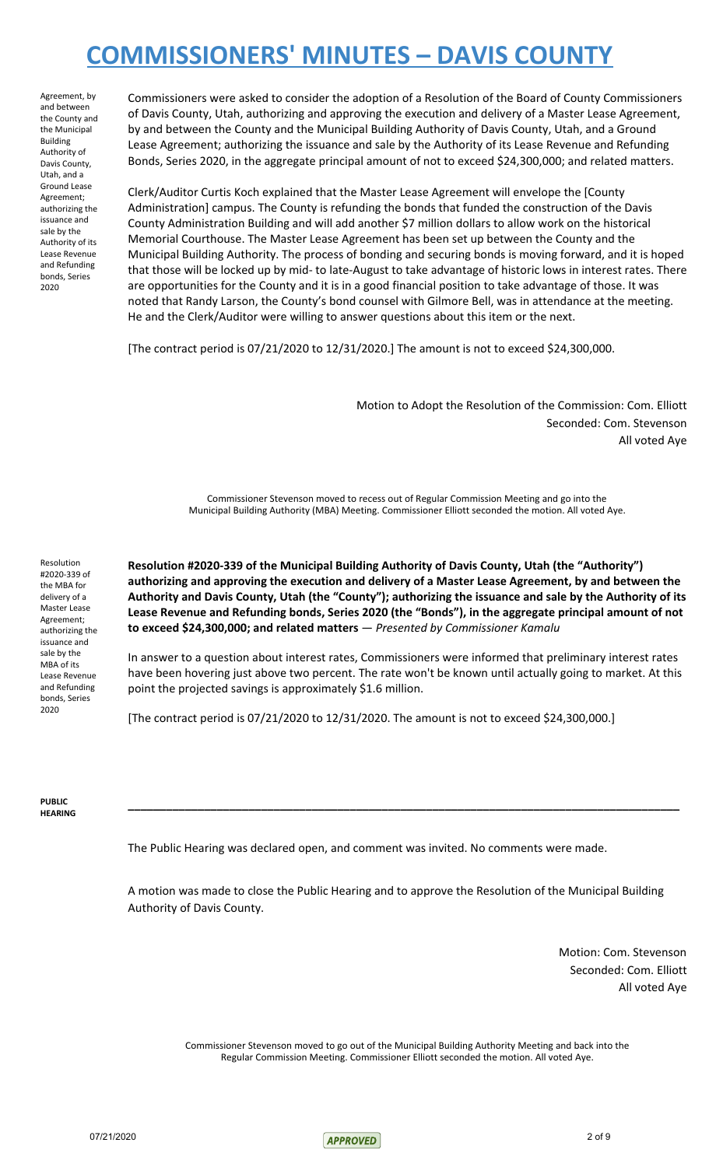Agreement, by and between the County and the Municipal Building Authority of Davis County, Utah, and a Ground Lease Agreement; authorizing the issuance and sale by the Authority of its Lease Revenue and Refunding bonds, Series 2020

Commissioners were asked to consider the adoption of a Resolution of the Board of County Commissioners of Davis County, Utah, authorizing and approving the execution and delivery of a Master Lease Agreement, by and between the County and the Municipal Building Authority of Davis County, Utah, and a Ground Lease Agreement; authorizing the issuance and sale by the Authority of its Lease Revenue and Refunding Bonds, Series 2020, in the aggregate principal amount of not to exceed \$24,300,000; and related matters.

Clerk/Auditor Curtis Koch explained that the Master Lease Agreement will envelope the [County Administration] campus. The County is refunding the bonds that funded the construction of the Davis County Administration Building and will add another \$7 million dollars to allow work on the historical Memorial Courthouse. The Master Lease Agreement has been set up between the County and the Municipal Building Authority. The process of bonding and securing bonds is moving forward, and it is hoped that those will be locked up by mid- to late-August to take advantage of historic lows in interest rates. There are opportunities for the County and it is in a good financial position to take advantage of those. It was noted that Randy Larson, the County's bond counsel with Gilmore Bell, was in attendance at the meeting. He and the Clerk/Auditor were willing to answer questions about this item or the next.

[The contract period is 07/21/2020 to 12/31/2020.] The amount is not to exceed \$24,300,000.

Motion to Adopt the Resolution of the Commission: Com. Elliott Seconded: Com. Stevenson All voted Aye

Commissioner Stevenson moved to recess out of Regular Commission Meeting and go into the Municipal Building Authority (MBA) Meeting. Commissioner Elliott seconded the motion. All voted Aye.

Resolution #2020-339 of the MBA for delivery of a Master Lease Agreement; authorizing the issuance and sale by the MBA of its Lease Revenue and Refunding bonds, Series 2020

**Resolution #2020-339 of the Municipal Building Authority of Davis County, Utah (the "Authority") authorizing and approving the execution and delivery of a Master Lease Agreement, by and between the** Authority and Davis County, Utah (the "County"); authorizing the issuance and sale by the Authority of its **Lease Revenue and Refunding bonds, Series 2020 (the "Bonds"), in the aggregate principal amount of not to exceed \$24,300,000; and related matters** — *Presented by Commissioner Kamalu*

In answer to a question about interest rates, Commissioners were informed that preliminary interest rates have been hovering just above two percent. The rate won't be known until actually going to market. At this point the projected savings is approximately \$1.6 million.

**\_\_\_\_\_\_\_\_\_\_\_\_\_\_\_\_\_\_\_\_\_\_\_\_\_\_\_\_\_\_\_\_\_\_\_\_\_\_\_\_\_\_\_\_\_\_\_\_\_\_\_\_\_\_\_\_\_\_\_\_\_\_\_\_\_\_\_\_\_\_\_\_\_\_\_\_\_\_\_\_\_\_\_\_\_\_\_**

[The contract period is 07/21/2020 to 12/31/2020. The amount is not to exceed \$24,300,000.]

**PUBLIC HEARING**

The Public Hearing was declared open, and comment was invited. No comments were made.

A motion was made to close the Public Hearing and to approve the Resolution of the Municipal Building Authority of Davis County.

> Motion: Com. Stevenson Seconded: Com. Elliott All voted Aye

Commissioner Stevenson moved to go out of the Municipal Building Authority Meeting and back into the Regular Commission Meeting. Commissioner Elliott seconded the motion. All voted Aye.

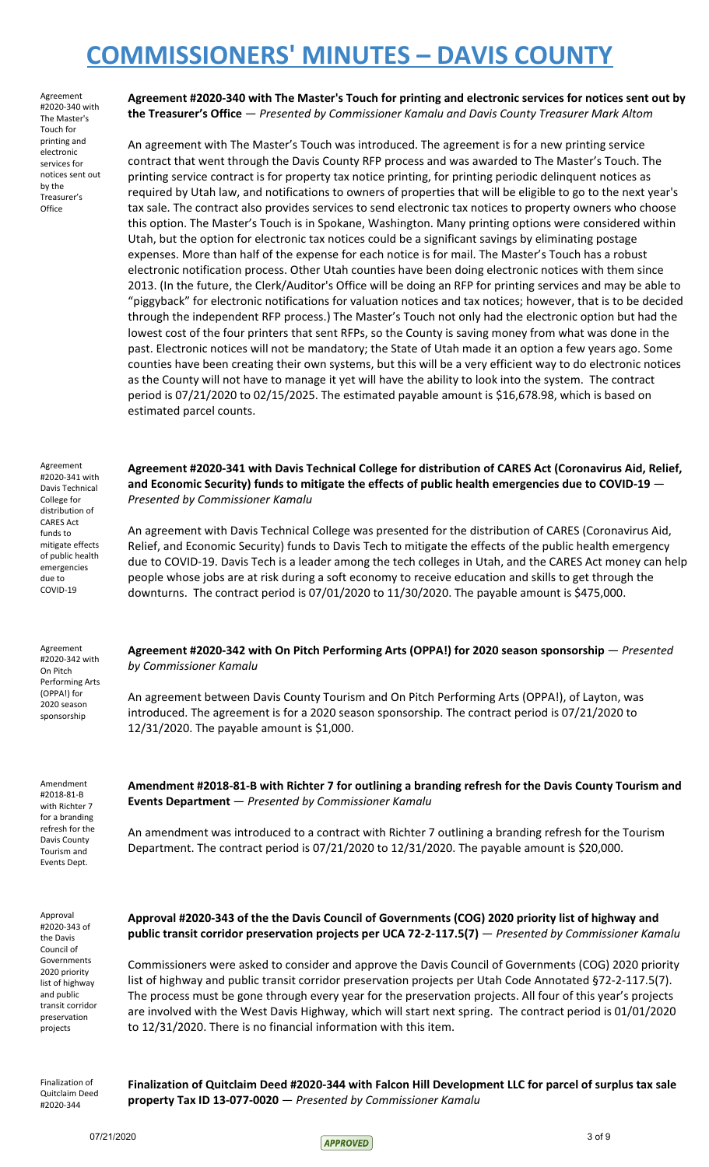Agreement #2020-340 with The Master's Touch for printing and electronic services for notices sent out by the Treasurer's **Office** 

**Agreement #2020-340 with The Master's Touch for printing and electronic services for notices sent out by the Treasurer's Office** — *Presented by Commissioner Kamalu and Davis County Treasurer Mark Altom*

An agreement with The Master's Touch was introduced. The agreement is for a new printing service contract that went through the Davis County RFP process and was awarded to The Master's Touch. The printing service contract is for property tax notice printing, for printing periodic delinquent notices as required by Utah law, and notifications to owners of properties that will be eligible to go to the next year's tax sale. The contract also provides services to send electronic tax notices to property owners who choose this option. The Master's Touch is in Spokane, Washington. Many printing options were considered within Utah, but the option for electronic tax notices could be a significant savings by eliminating postage expenses. More than half of the expense for each notice is for mail. The Master's Touch has a robust electronic notification process. Other Utah counties have been doing electronic notices with them since 2013. (In the future, the Clerk/Auditor's Office will be doing an RFP for printing services and may be able to "piggyback" for electronic notifications for valuation notices and tax notices; however, that is to be decided through the independent RFP process.) The Master's Touch not only had the electronic option but had the lowest cost of the four printers that sent RFPs, so the County is saving money from what was done in the past. Electronic notices will not be mandatory; the State of Utah made it an option a few years ago. Some counties have been creating their own systems, but this will be a very efficient way to do electronic notices as the County will not have to manage it yet will have the ability to look into the system. The contract period is 07/21/2020 to 02/15/2025. The estimated payable amount is \$16,678.98, which is based on estimated parcel counts.

Agreement #2020-341 with Davis Technical College for distribution of CARES Act funds to mitigate effects of public health emergencies due to COVID-19

*Presented by Commissioner Kamalu*

Agreement #2020-342 with On Pitch Performing Arts (OPPA!) for 2020 season sponsorship

Amendment #2018-81-B with Richter 7 for a branding refresh for the Davis County Tourism and Events Dept.

**Agreement #2020-342 with On Pitch Performing Arts (OPPA!) for 2020 season sponsorship** — *Presented by Commissioner Kamalu*

**Agreement #2020-341 with Davis Technical College for distribution of CARES Act (Coronavirus Aid, Relief, and Economic Security) funds to mitigate the effects of public health emergencies due to COVID-19** —

An agreement with Davis Technical College was presented for the distribution of CARES (Coronavirus Aid, Relief, and Economic Security) funds to Davis Tech to mitigate the effects of the public health emergency due to COVID-19. Davis Tech is a leader among the tech colleges in Utah, and the CARES Act money can help people whose jobs are at risk during a soft economy to receive education and skills to get through the downturns. The contract period is 07/01/2020 to 11/30/2020. The payable amount is \$475,000.

An agreement between Davis County Tourism and On Pitch Performing Arts (OPPA!), of Layton, was introduced. The agreement is for a 2020 season sponsorship. The contract period is 07/21/2020 to 12/31/2020. The payable amount is \$1,000.

**Amendment #2018-81-B with Richter 7 for outlining a branding refresh for the Davis County Tourism and Events Department** — *Presented by Commissioner Kamalu*

An amendment was introduced to a contract with Richter 7 outlining a branding refresh for the Tourism Department. The contract period is 07/21/2020 to 12/31/2020. The payable amount is \$20,000.

Approval #2020-343 of the Davis Council of Governments 2020 priority list of highway and public transit corridor preservation projects

**Approval #2020-343 of the the Davis Council of Governments (COG) 2020 priority list of highway and public transit corridor preservation projects per UCA 72-2-117.5(7)** — *Presented by Commissioner Kamalu*

Commissioners were asked to consider and approve the Davis Council of Governments (COG) 2020 priority list of highway and public transit corridor preservation projects per Utah Code Annotated §72-2-117.5(7). The process must be gone through every year for the preservation projects. All four of this year's projects are involved with the West Davis Highway, which will start next spring. The contract period is 01/01/2020 to 12/31/2020. There is no financial information with this item.

Finalization of Quitclaim Deed #2020-344

**Finalization of Quitclaim Deed #2020-344 with Falcon Hill Development LLC for parcel of surplus tax sale property Tax ID 13-077-0020** — *Presented by Commissioner Kamalu*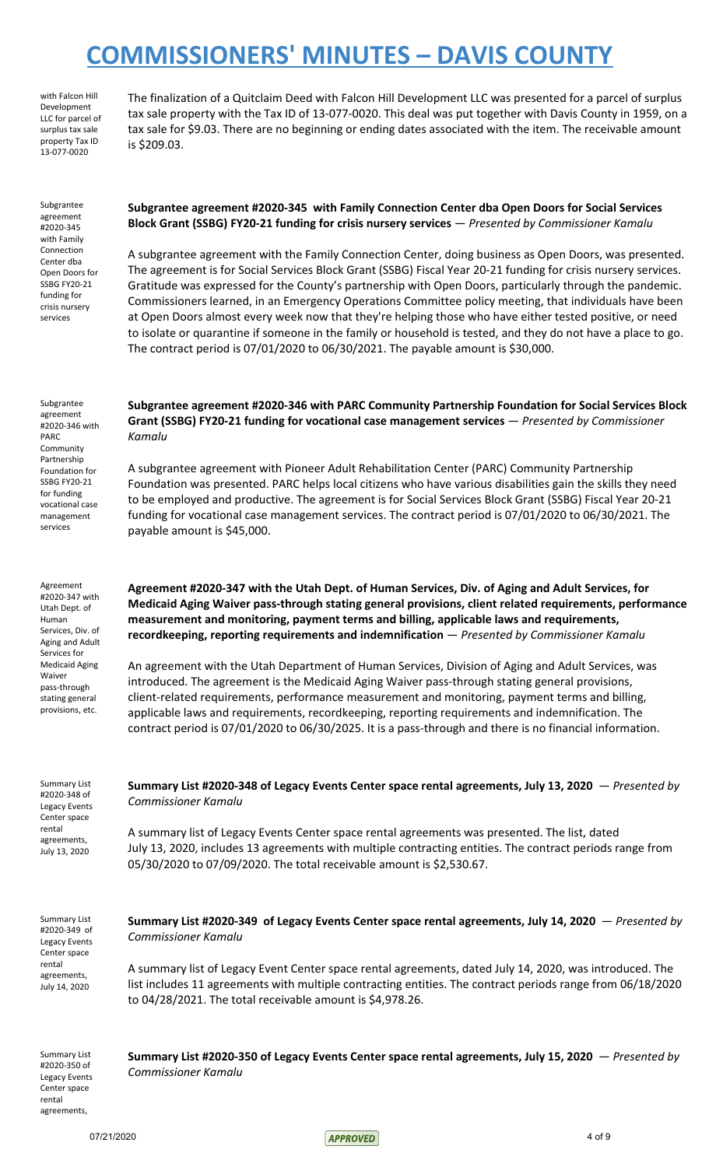with Falcon Hill Development LLC for parcel of surplus tax sale property Tax ID 13-077-0020

Subgrantee agreement #2020-345 with Family Connection Center dba Open Doors for SSBG FY20-21 funding for crisis nursery services

The finalization of a Quitclaim Deed with Falcon Hill Development LLC was presented for a parcel of surplus tax sale property with the Tax ID of 13-077-0020. This deal was put together with Davis County in 1959, on a tax sale for \$9.03. There are no beginning or ending dates associated with the item. The receivable amount is \$209.03.

**Subgrantee agreement #2020-345 with Family Connection Center dba Open Doors for Social Services Block Grant (SSBG) FY20-21 funding for crisis nursery services** — *Presented by Commissioner Kamalu*

A subgrantee agreement with the Family Connection Center, doing business as Open Doors, was presented. The agreement is for Social Services Block Grant (SSBG) Fiscal Year 20-21 funding for crisis nursery services. Gratitude was expressed for the County's partnership with Open Doors, particularly through the pandemic. Commissioners learned, in an Emergency Operations Committee policy meeting, that individuals have been at Open Doors almost every week now that they're helping those who have either tested positive, or need to isolate or quarantine if someone in the family or household is tested, and they do not have a place to go. The contract period is 07/01/2020 to 06/30/2021. The payable amount is \$30,000.

Subgrantee agreement #2020-346 with PARC Community Partnership Foundation for SSBG FY20-21 for funding vocational case management services

Agreement #2020-347 with Utah Dept. of Human Services, Div. of Aging and Adult Services for Medicaid Aging Waiver pass-through stating general provisions, etc.

**Grant (SSBG) FY20-21 funding for vocational case management services** — *Presented by Commissioner Kamalu*

**Subgrantee agreement #2020-346 with PARC Community Partnership Foundation for Social Services Block**

A subgrantee agreement with Pioneer Adult Rehabilitation Center (PARC) Community Partnership Foundation was presented. PARC helps local citizens who have various disabilities gain the skills they need to be employed and productive. The agreement is for Social Services Block Grant (SSBG) Fiscal Year 20-21 funding for vocational case management services. The contract period is 07/01/2020 to 06/30/2021. The payable amount is \$45,000.

**Agreement #2020-347 with the Utah Dept. of Human Services, Div. of Aging and Adult Services, for Medicaid Aging Waiver pass-through stating general provisions, client related requirements, performance measurement and monitoring, payment terms and billing, applicable laws and requirements, recordkeeping, reporting requirements and indemnification** — *Presented by Commissioner Kamalu*

An agreement with the Utah Department of Human Services, Division of Aging and Adult Services, was introduced. The agreement is the Medicaid Aging Waiver pass-through stating general provisions, client-related requirements, performance measurement and monitoring, payment terms and billing, applicable laws and requirements, recordkeeping, reporting requirements and indemnification. The contract period is 07/01/2020 to 06/30/2025. It is a pass-through and there is no financial information.

Summary List #2020-348 of Legacy Events Center space rental agreements, July 13, 2020

**Summary List #2020-348 of Legacy Events Center space rental agreements, July 13, 2020** — *Presented by Commissioner Kamalu*

A summary list of Legacy Events Center space rental agreements was presented. The list, dated July 13, 2020, includes 13 agreements with multiple contracting entities. The contract periods range from 05/30/2020 to 07/09/2020. The total receivable amount is \$2,530.67.

Summary List #2020-349 of Legacy Events Center space rental agreements, July 14, 2020

**Summary List #2020-349 of Legacy Events Center space rental agreements, July 14, 2020** — *Presented by Commissioner Kamalu*

A summary list of Legacy Event Center space rental agreements, dated July 14, 2020, was introduced. The list includes 11 agreements with multiple contracting entities. The contract periods range from 06/18/2020 to 04/28/2021. The total receivable amount is \$4,978.26.

Summary List #2020-350 of Legacy Events Center space rental agreements,

**Summary List #2020-350 of Legacy Events Center space rental agreements, July 15, 2020** — *Presented by Commissioner Kamalu*

07/21/2020 4 of 9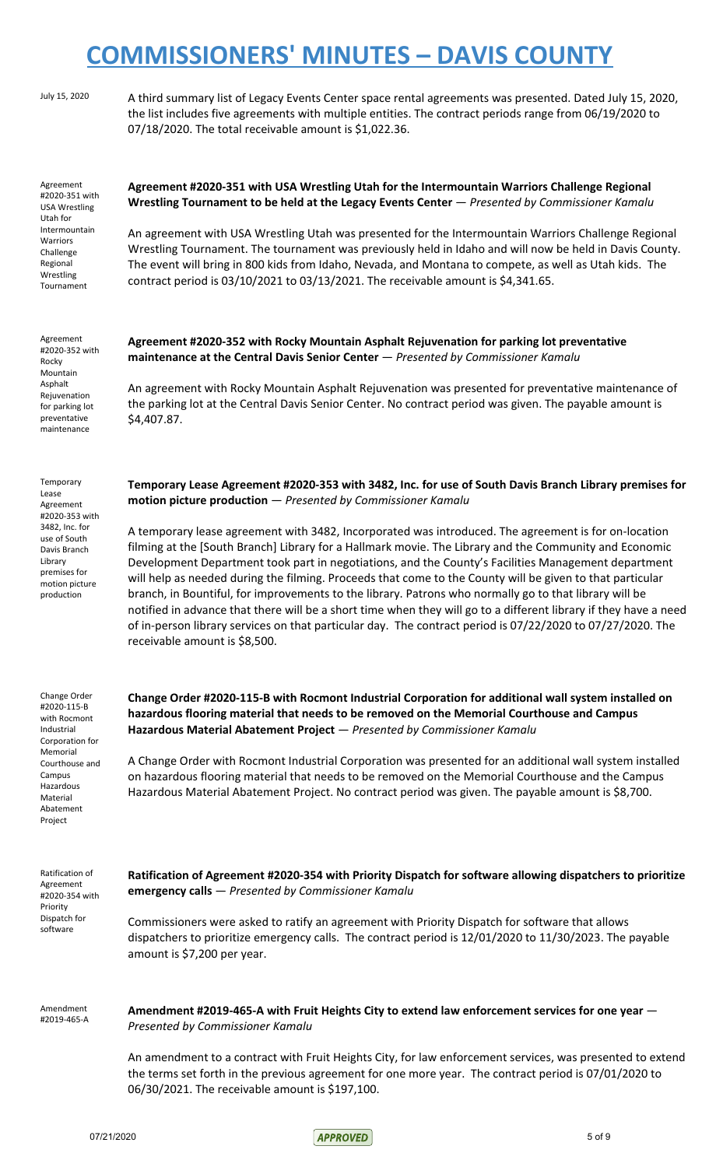July 15, 2020 A third summary list of Legacy Events Center space rental agreements was presented. Dated July 15, 2020, the list includes five agreements with multiple entities. The contract periods range from 06/19/2020 to 07/18/2020. The total receivable amount is \$1,022.36.

Agreement #2020-351 with USA Wrestling Utah for Intermountain Warriors Challenge Regional Wrestling Tournament

Agreement #2020-352 with Rocky Mountain Asphalt Rejuvenation for parking lot preventative maintenance

Temporary Lease Agreement #2020-353 with 3482, Inc. for use of South Davis Branch Library premises for motion picture production

### **Agreement #2020-351 with USA Wrestling Utah for the Intermountain Warriors Challenge Regional Wrestling Tournament to be held at the Legacy Events Center** — *Presented by Commissioner Kamalu*

An agreement with USA Wrestling Utah was presented for the Intermountain Warriors Challenge Regional Wrestling Tournament. The tournament was previously held in Idaho and will now be held in Davis County. The event will bring in 800 kids from Idaho, Nevada, and Montana to compete, as well as Utah kids. The contract period is 03/10/2021 to 03/13/2021. The receivable amount is \$4,341.65.

**Agreement #2020-352 with Rocky Mountain Asphalt Rejuvenation for parking lot preventative maintenance at the Central Davis Senior Center** — *Presented by Commissioner Kamalu*

An agreement with Rocky Mountain Asphalt Rejuvenation was presented for preventative maintenance of the parking lot at the Central Davis Senior Center. No contract period was given. The payable amount is \$4,407.87.

**Temporary Lease Agreement #2020-353 with 3482, Inc. for use of South Davis Branch Library premises for motion picture production** — *Presented by Commissioner Kamalu*

A temporary lease agreement with 3482, Incorporated was introduced. The agreement is for on-location filming at the [South Branch] Library for a Hallmark movie. The Library and the Community and Economic Development Department took part in negotiations, and the County's Facilities Management department will help as needed during the filming. Proceeds that come to the County will be given to that particular branch, in Bountiful, for improvements to the library. Patrons who normally go to that library will be notified in advance that there will be a short time when they will go to a different library if they have a need of in-person library services on that particular day. The contract period is 07/22/2020 to 07/27/2020. The receivable amount is \$8,500.

Change Order #2020-115-B with Rocmont Industrial Corporation for Memorial Courthouse and Campus Hazardous Material Abatement Project

**Change Order #2020-115-B with Rocmont Industrial Corporation for additional wall system installed on hazardous flooring material that needs to be removed on the Memorial Courthouse and Campus Hazardous Material Abatement Project** — *Presented by Commissioner Kamalu*

A Change Order with Rocmont Industrial Corporation was presented for an additional wall system installed on hazardous flooring material that needs to be removed on the Memorial Courthouse and the Campus Hazardous Material Abatement Project. No contract period was given. The payable amount is \$8,700.

Ratification of Agreement #2020-354 with Priority Dispatch for software

**Ratification of Agreement #2020-354 with Priority Dispatch for software allowing dispatchers to prioritize emergency calls** — *Presented by Commissioner Kamalu*

Commissioners were asked to ratify an agreement with Priority Dispatch for software that allows dispatchers to prioritize emergency calls. The contract period is 12/01/2020 to 11/30/2023. The payable amount is \$7,200 per year.

Amendment #2019-465-A **Amendment #2019-465-A with Fruit Heights City to extend law enforcement services for one year** — *Presented by Commissioner Kamalu*

An amendment to a contract with Fruit Heights City, for law enforcement services, was presented to extend the terms set forth in the previous agreement for one more year. The contract period is 07/01/2020 to 06/30/2021. The receivable amount is \$197,100.

 $07/21/2020$  5 of 9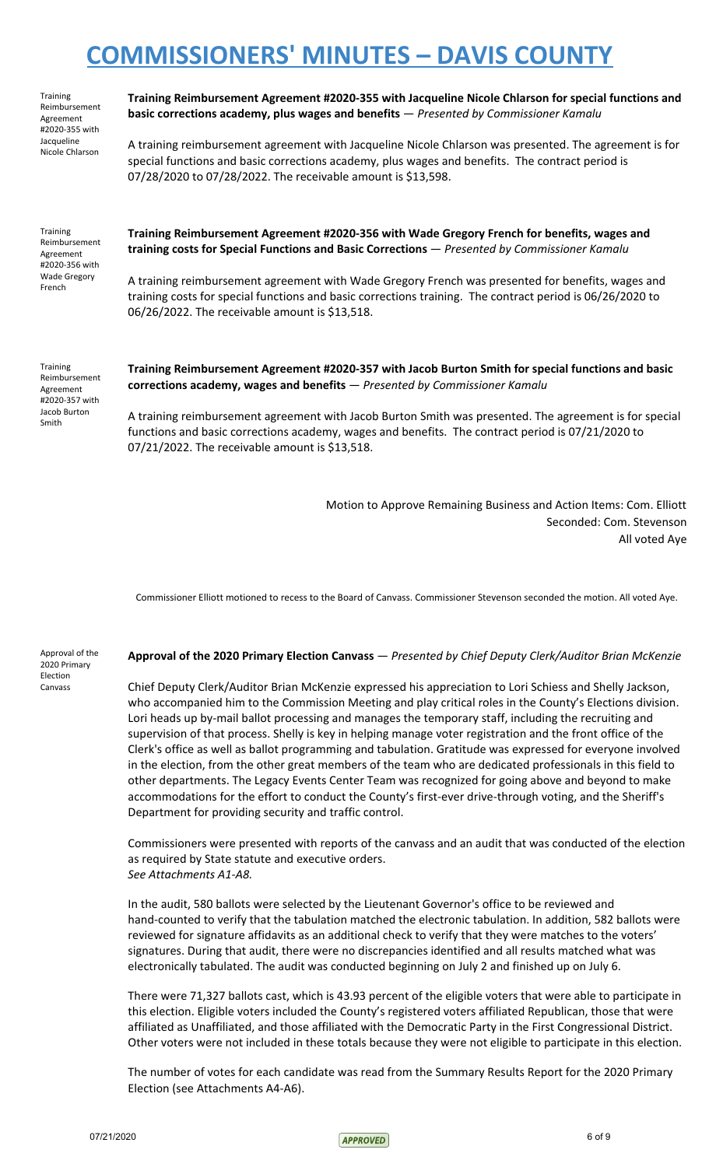| <b>Training</b><br>Reimbursement<br>Agreement<br>#2020-355 with<br>Jacqueline<br>Nicole Chlarson | Training Reimbursement Agreement #2020-355 with Jacqueline Nicole Chlarson for special functions and<br>basic corrections academy, plus wages and benefits - Presented by Commissioner Kamalu                                                                              |
|--------------------------------------------------------------------------------------------------|----------------------------------------------------------------------------------------------------------------------------------------------------------------------------------------------------------------------------------------------------------------------------|
|                                                                                                  | A training reimbursement agreement with Jacqueline Nicole Chlarson was presented. The agreement is for<br>special functions and basic corrections academy, plus wages and benefits. The contract period is<br>07/28/2020 to 07/28/2022. The receivable amount is \$13,598. |
| <b>Training</b><br>Reimbursement<br>Agreement<br>#2020-356 with<br><b>Wade Gregory</b><br>French | Training Reimbursement Agreement #2020-356 with Wade Gregory French for benefits, wages and<br>training costs for Special Functions and Basic Corrections - Presented by Commissioner Kamalu                                                                               |
|                                                                                                  | A training reimbursement agreement with Wade Gregory French was presented for benefits, wages and<br>training costs for special functions and basic corrections training. The contract period is 06/26/2020 to<br>06/26/2022. The receivable amount is \$13,518.           |
| <b>Training</b><br>Reimbursement<br>Agreement<br>#2020-357 with<br>Jacob Burton<br>Smith         | Training Reimbursement Agreement #2020-357 with Jacob Burton Smith for special functions and basic<br>corrections academy, wages and benefits - Presented by Commissioner Kamalu                                                                                           |
|                                                                                                  | A training reimbursement agreement with Jacob Burton Smith was presented. The agreement is for special<br>functions and basic corrections academy, wages and benefits. The contract period is 07/21/2020 to<br>07/21/2022. The receivable amount is \$13,518.              |

Motion to Approve Remaining Business and Action Items: Com. Elliott Seconded: Com. Stevenson All voted Aye

Commissioner Elliott motioned to recess to the Board of Canvass. Commissioner Stevenson seconded the motion. All voted Aye.

Approval of the 2020 Primary Election Canvass

#### **Approval of the 2020 Primary Election Canvass** — *Presented by Chief Deputy Clerk/Auditor Brian McKenzie*

Chief Deputy Clerk/Auditor Brian McKenzie expressed his appreciation to Lori Schiess and Shelly Jackson, who accompanied him to the Commission Meeting and play critical roles in the County's Elections division. Lori heads up by-mail ballot processing and manages the temporary staff, including the recruiting and supervision of that process. Shelly is key in helping manage voter registration and the front office of the Clerk's office as well as ballot programming and tabulation. Gratitude was expressed for everyone involved in the election, from the other great members of the team who are dedicated professionals in this field to other departments. The Legacy Events Center Team was recognized for going above and beyond to make accommodations for the effort to conduct the County's first-ever drive-through voting, and the Sheriff's Department for providing security and traffic control.

Commissioners were presented with reports of the canvass and an audit that was conducted of the election as required by State statute and executive orders. *See Attachments A1-A8.*

In the audit, 580 ballots were selected by the Lieutenant Governor's office to be reviewed and hand-counted to verify that the tabulation matched the electronic tabulation. In addition, 582 ballots were reviewed for signature affidavits as an additional check to verify that they were matches to the voters' signatures. During that audit, there were no discrepancies identified and all results matched what was electronically tabulated. The audit was conducted beginning on July 2 and finished up on July 6.

There were 71,327 ballots cast, which is 43.93 percent of the eligible voters that were able to participate in this election. Eligible voters included the County's registered voters affiliated Republican, those that were affiliated as Unaffiliated, and those affiliated with the Democratic Party in the First Congressional District. Other voters were not included in these totals because they were not eligible to participate in this election.

The number of votes for each candidate was read from the Summary Results Report for the 2020 Primary Election (see Attachments A4-A6).

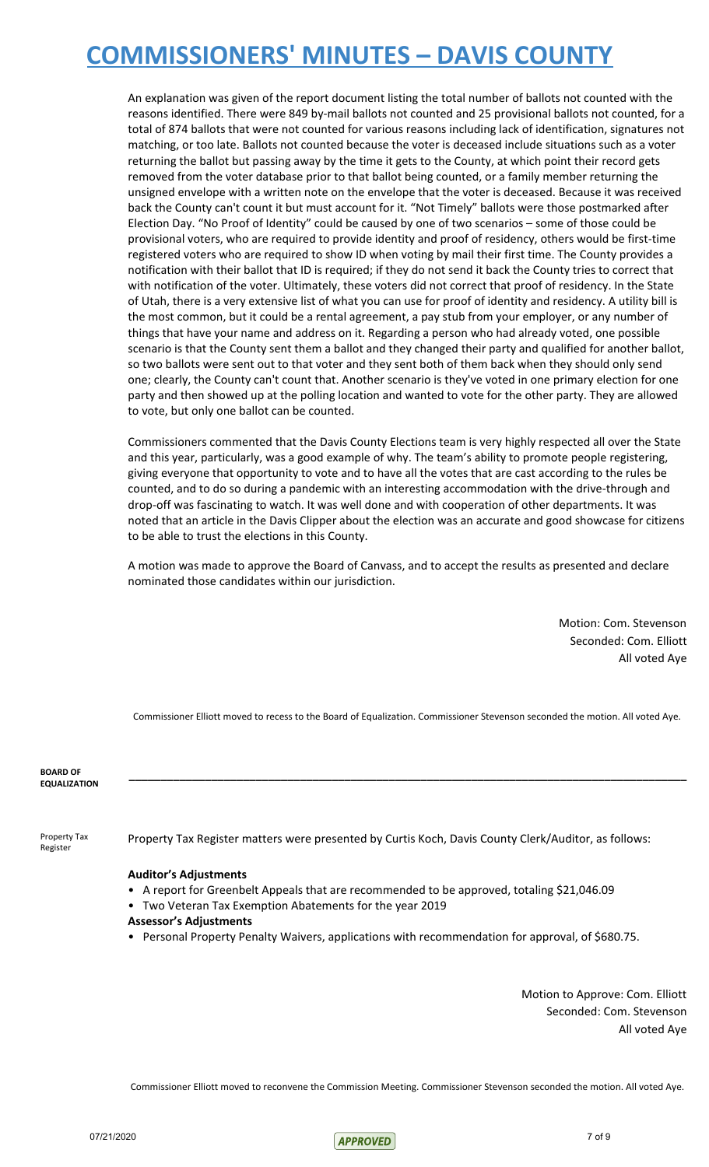An explanation was given of the report document listing the total number of ballots not counted with the reasons identified. There were 849 by-mail ballots not counted and 25 provisional ballots not counted, for a total of 874 ballots that were not counted for various reasons including lack of identification, signatures not matching, or too late. Ballots not counted because the voter is deceased include situations such as a voter returning the ballot but passing away by the time it gets to the County, at which point their record gets removed from the voter database prior to that ballot being counted, or a family member returning the unsigned envelope with a written note on the envelope that the voter is deceased. Because it was received back the County can't count it but must account for it. "Not Timely" ballots were those postmarked after Election Day. "No Proof of Identity" could be caused by one of two scenarios – some of those could be provisional voters, who are required to provide identity and proof of residency, others would be first-time registered voters who are required to show ID when voting by mail their first time. The County provides a notification with their ballot that ID is required; if they do not send it back the County tries to correct that with notification of the voter. Ultimately, these voters did not correct that proof of residency. In the State of Utah, there is a very extensive list of what you can use for proof of identity and residency. A utility bill is the most common, but it could be a rental agreement, a pay stub from your employer, or any number of things that have your name and address on it. Regarding a person who had already voted, one possible scenario is that the County sent them a ballot and they changed their party and qualified for another ballot, so two ballots were sent out to that voter and they sent both of them back when they should only send one; clearly, the County can't count that. Another scenario is they've voted in one primary election for one party and then showed up at the polling location and wanted to vote for the other party. They are allowed to vote, but only one ballot can be counted.

Commissioners commented that the Davis County Elections team is very highly respected all over the State and this year, particularly, was a good example of why. The team's ability to promote people registering, giving everyone that opportunity to vote and to have all the votes that are cast according to the rules be counted, and to do so during a pandemic with an interesting accommodation with the drive-through and drop-off was fascinating to watch. It was well done and with cooperation of other departments. It was noted that an article in the Davis Clipper about the election was an accurate and good showcase for citizens to be able to trust the elections in this County.

A motion was made to approve the Board of Canvass, and to accept the results as presented and declare nominated those candidates within our jurisdiction.

> Motion: Com. Stevenson Seconded: Com. Elliott All voted Aye

Commissioner Elliott moved to recess to the Board of Equalization. Commissioner Stevenson seconded the motion. All voted Aye.

**\_\_\_\_\_\_\_\_\_\_\_\_\_\_\_\_\_\_\_\_\_\_\_\_\_\_\_\_\_\_\_\_\_\_\_\_\_\_\_\_\_\_\_\_\_\_\_\_\_\_\_\_\_\_\_\_\_\_\_\_\_\_\_\_\_\_\_\_\_\_\_\_\_\_\_\_\_\_\_\_\_\_\_\_\_\_\_\_**

**BOARD OF EQUALIZATION**

Property Tax Register

Property Tax Register matters were presented by Curtis Koch, Davis County Clerk/Auditor, as follows:

#### **Auditor's Adjustments**

- A report for Greenbelt Appeals that are recommended to be approved, totaling \$21,046.09
- Two Veteran Tax Exemption Abatements for the year 2019
- **Assessor's Adjustments**
- Personal Property Penalty Waivers, applications with recommendation for approval, of \$680.75.

Motion to Approve: Com. Elliott Seconded: Com. Stevenson All voted Aye

Commissioner Elliott moved to reconvene the Commission Meeting. Commissioner Stevenson seconded the motion. All voted Aye.

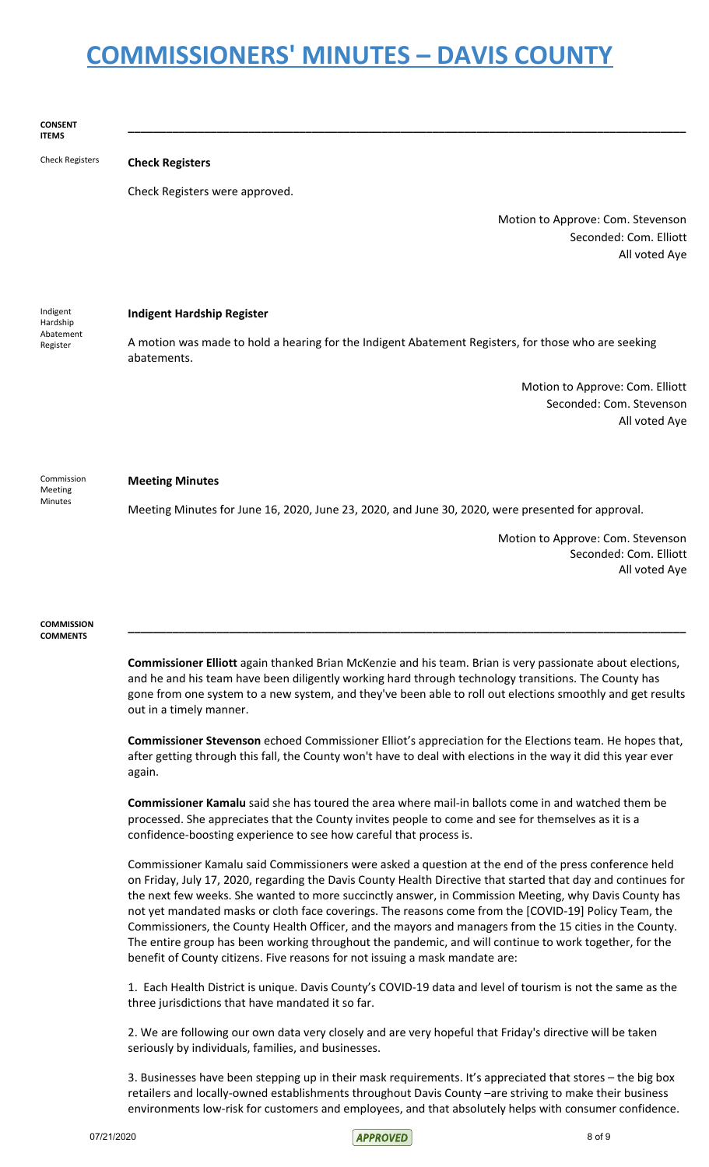**CONSENT ITEMS \_\_\_\_\_\_\_\_\_\_\_\_\_\_\_\_\_\_\_\_\_\_\_\_\_\_\_\_\_\_\_\_\_\_\_\_\_\_\_\_\_\_\_\_\_\_\_\_\_\_\_\_\_\_\_\_\_\_\_\_\_\_\_\_\_\_\_\_\_\_\_\_\_\_\_\_\_\_\_\_\_\_\_\_\_\_\_\_** Check Registers **Check Registers** Check Registers were approved. Motion to Approve: Com. Stevenson Seconded: Com. Elliott All voted Aye Indigent Hardship Abatement Register **Indigent Hardship Register** A motion was made to hold a hearing for the Indigent Abatement Registers, for those who are seeking abatements. Motion to Approve: Com. Elliott Seconded: Com. Stevenson All voted Aye Commission Meeting Minutes **Meeting Minutes** Meeting Minutes for June 16, 2020, June 23, 2020, and June 30, 2020, were presented for approval. Motion to Approve: Com. Stevenson Seconded: Com. Elliott All voted Aye **COMMISSION COMMENTS \_\_\_\_\_\_\_\_\_\_\_\_\_\_\_\_\_\_\_\_\_\_\_\_\_\_\_\_\_\_\_\_\_\_\_\_\_\_\_\_\_\_\_\_\_\_\_\_\_\_\_\_\_\_\_\_\_\_\_\_\_\_\_\_\_\_\_\_\_\_\_\_\_\_\_\_\_\_\_\_\_\_\_\_\_\_\_\_ Commissioner Elliott** again thanked Brian McKenzie and his team. Brian is very passionate about elections, and he and his team have been diligently working hard through technology transitions. The County has gone from one system to a new system, and they've been able to roll out elections smoothly and get results out in a timely manner.

> **Commissioner Stevenson** echoed Commissioner Elliot's appreciation for the Elections team. He hopes that, after getting through this fall, the County won't have to deal with elections in the way it did this year ever again.

**Commissioner Kamalu** said she has toured the area where mail-in ballots come in and watched them be processed. She appreciates that the County invites people to come and see for themselves as it is a confidence-boosting experience to see how careful that process is.

Commissioner Kamalu said Commissioners were asked a question at the end of the press conference held on Friday, July 17, 2020, regarding the Davis County Health Directive that started that day and continues for the next few weeks. She wanted to more succinctly answer, in Commission Meeting, why Davis County has not yet mandated masks or cloth face coverings. The reasons come from the [COVID-19] Policy Team, the Commissioners, the County Health Officer, and the mayors and managers from the 15 cities in the County. The entire group has been working throughout the pandemic, and will continue to work together, for the benefit of County citizens. Five reasons for not issuing a mask mandate are:

1. Each Health District is unique. Davis County's COVID-19 data and level of tourism is not the same as the three jurisdictions that have mandated it so far.

2. We are following our own data very closely and are very hopeful that Friday's directive will be taken seriously by individuals, families, and businesses.

3. Businesses have been stepping up in their mask requirements. It's appreciated that stores – the big box retailers and locally-owned establishments throughout Davis County –are striving to make their business environments low-risk for customers and employees, and that absolutely helps with consumer confidence.